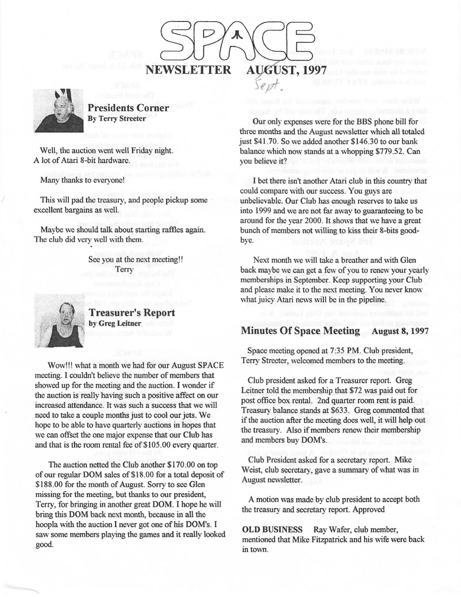



**Presidents Corner By Terry Streeter** 

Well, the auction went well Friday night. A lot of Atari 8-bit hardware.

Many thanks to everyone!

This will pad the treasury, and people pickup some excellent bargains as well.

Maybe we should talk about starting raffles again. The club did very well with them.

> See you at the next meeting!! **Terry**



4;•1 .. **Treasurer's Report**  by Greg Leitner

Wow!!! what a month we had for our August SPACE meeting. I couldn't believe the number of members that showed up for the meeting and the auction. I wonder if the auction is really having such a positive affect on our increased attendance. It was such a success that we will need to take a couple months just to cool our jets. We hope to be able to have quarterly auctions in hopes that we can offset the one major expense that our Club has and that is the room rental fee of \$105.00 every quarter.

The auction netted the Club another \$170.00 on top of our regular DOM sales of \$18. 00 for a total deposit of \$188. 00 for the month of August. Sorry to see Glen missing for the meeting, but thanks to our president, Terry, for bringing in another great DOM. I hope he will bring this DOM back next month, because in all the hoopla with the auction I never got one of his DOM's. I saw some members playing the games and it really looked good.

Our only expenses were for the BBS phone bill for three months and the August newsletter which all totaled just \$41.70. So we added another \$146.30 to our bank balance which now stands at a whopping \$779.52. Can you believe it?

I bet there isn't another Atari club in this country that could compare with our success. You guys are unbelievable. Our Club has enough reserves to take us into 1999 and we are not far away to guaranteeing to be around for the year 2000. It shows that we have a great bunch of members not willing to kiss their 8-bits goodbye.

Next month we will take a breather and with Glen back maybe we can get a few of you to renew your yearly memberships in September. Keep supporting your Club and please make it to the next meeting. You never know what juicy Atari news will be in the pipeline.

# **Minutes Of Space Meeting August 8,** 1997

Space meeting opened at 7:35 **PM.** Club president, Terry Streeter, welcomed members to the meeting.

Club president asked for a Treasurer report. Greg Leitner told the membership that \$72 was paid out for post office box rental. 2nd quarter room rent is paid. Treasury balance stands at \$633. Greg commented that if the auction after the meeting does well, it will help out the treasury. Also if members renew their membership and members buy DOM's.

Club President asked for a secretary report. Mike Weist, club secretary, gave a summary of what was in August newsletter.

A motion was made by club president to accept both the treasury and secretary report. Approved

**OLD BUSINESS** Ray Wafer, club member, mentioned that Mike Fitzpatrick and his wife were back in town.